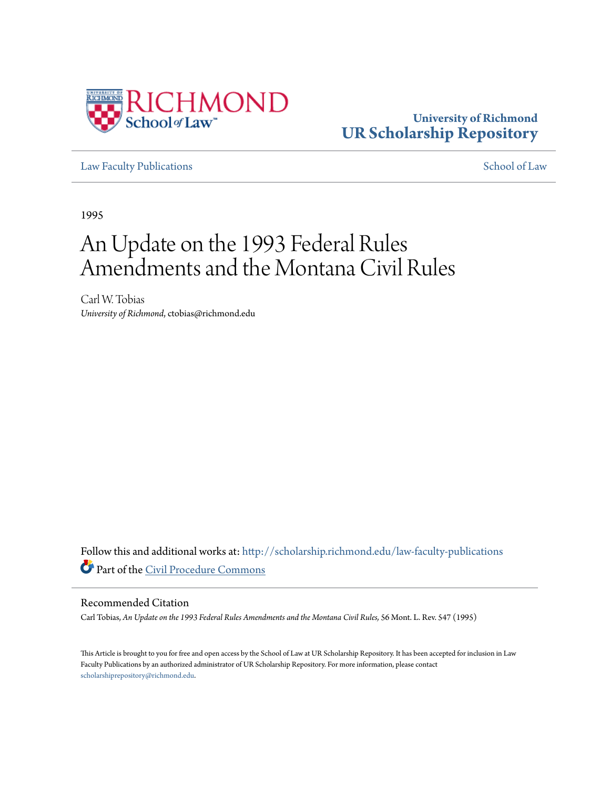

## **University of Richmond [UR Scholarship Repository](http://scholarship.richmond.edu?utm_source=scholarship.richmond.edu%2Flaw-faculty-publications%2F842&utm_medium=PDF&utm_campaign=PDFCoverPages)**

[Law Faculty Publications](http://scholarship.richmond.edu/law-faculty-publications?utm_source=scholarship.richmond.edu%2Flaw-faculty-publications%2F842&utm_medium=PDF&utm_campaign=PDFCoverPages) [School of Law](http://scholarship.richmond.edu/law?utm_source=scholarship.richmond.edu%2Flaw-faculty-publications%2F842&utm_medium=PDF&utm_campaign=PDFCoverPages)

1995

# An Update on the 1993 Federal Rules Amendments and the Montana Civil Rules

Carl W. Tobias *University of Richmond*, ctobias@richmond.edu

Follow this and additional works at: [http://scholarship.richmond.edu/law-faculty-publications](http://scholarship.richmond.edu/law-faculty-publications?utm_source=scholarship.richmond.edu%2Flaw-faculty-publications%2F842&utm_medium=PDF&utm_campaign=PDFCoverPages) Part of the [Civil Procedure Commons](http://network.bepress.com/hgg/discipline/584?utm_source=scholarship.richmond.edu%2Flaw-faculty-publications%2F842&utm_medium=PDF&utm_campaign=PDFCoverPages)

### Recommended Citation

Carl Tobias, *An Update on the 1993 Federal Rules Amendments and the Montana Civil Rules,* 56 Mont. L. Rev. 547 (1995)

This Article is brought to you for free and open access by the School of Law at UR Scholarship Repository. It has been accepted for inclusion in Law Faculty Publications by an authorized administrator of UR Scholarship Repository. For more information, please contact [scholarshiprepository@richmond.edu.](mailto:scholarshiprepository@richmond.edu)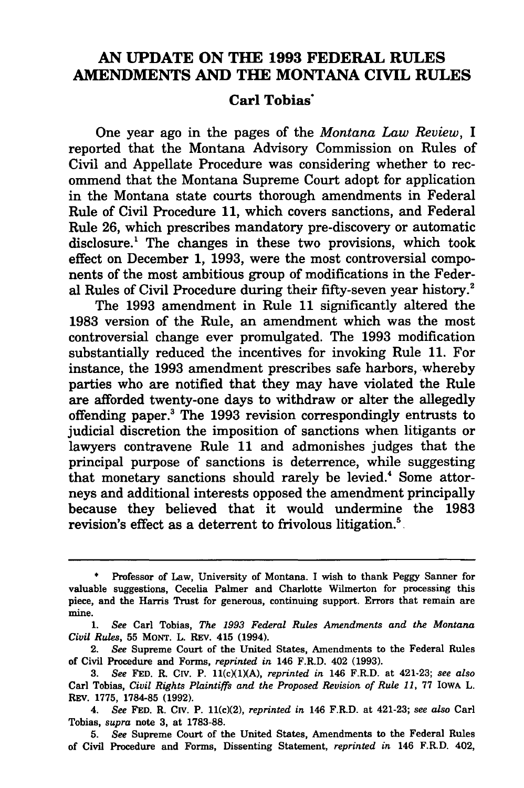## AN UPDATE ON THE 1993 FEDERAL RULES AMENDMENTS AND THE MONTANA CIVIL RULES

## Carl Tobias·

One year ago in the pages of the *Montana Law Review,* I reported that the Montana Advisory Commission on Rules of Civil and Appellate Procedure was considering whether to recommend that the Montana Supreme Court adopt for application in the Montana state courts thorough amendments in Federal Rule of Civil Procedure 11, which covers sanctions, and Federal Rule 26, which prescribes mandatory pre-discovery or automatic disclosure.<sup>1</sup> The changes in these two provisions, which took effect on December 1, 1993, were the most controversial components of the most ambitious group of modifications in the Federal Rules of Civil Procedure during their fifty-seven year history.<sup>2</sup>

The 1993 amendment in Rule 11 significantly altered the 1983 version of the Rule, an amendment which was the most controversial change ever promulgated. The 1993 modification substantially reduced the incentives for invoking Rule 11. For instance, the 1993 amendment prescribes safe harbors, whereby parties who are notified that they may have violated the Rule are afforded twenty-one days to withdraw or alter the allegedly offending paper.3 The 1993 revision correspondingly entrusts to judicial discretion the imposition of sanctions when litigants or lawyers contravene Rule 11 and admonishes judges that the principal purpose of sanctions is deterrence, while suggesting that monetary sanctions should rarely be levied.<sup>4</sup> Some attorneys and additional interests opposed the amendment principally because they believed that it would undermine the 1983 revision's effect as a deterrent to frivolous litigation.<sup>5</sup>

<sup>•</sup> Professor of Law, University of Montana. I wish to thank Peggy Sanner for valuable suggestions, Cecelia Palmer and Charlotte Wilmerton for processing this piece, and the Harris Trust for generous, continuing support. Errors that remain are mine.

<sup>1.</sup> *See* Carl Tobias, *The 1993 Federal Rules Amendments and the Montana Civil Rules,* 55 MONT. L. REv. 415 (1994).

<sup>2.</sup> *See* Supreme Court of the United States, Amendments to the Federal Rules of Civil Procedure and Forms, *reprinted in* 146 F.R.D. 402 (1993).

<sup>3.</sup> *See* FED. R. CIV. P. ll(cXl)(A), *reprinted in* 146 F.R.D. at 421-23; *see also*  Carl Tobias, *Civil Rights Plaintiffs and the Proposed Revision of Rule 11,* 77 IOWA L. REv. 1775, 1784-85 (1992).

<sup>4.</sup> *See* FED. R. CIV. P. ll(c)(2), *reprinted in* 146 F.R.D. at 421-23; *see also* Carl Tobias, *supra* note 3, at 1783-88.

<sup>5.</sup> *See* Supreme Court of the United States, Amendments to the Federal Rules of Civil Procedure and Forms, Dissenting Statement, *reprinted in* 146 F.R.D. 402,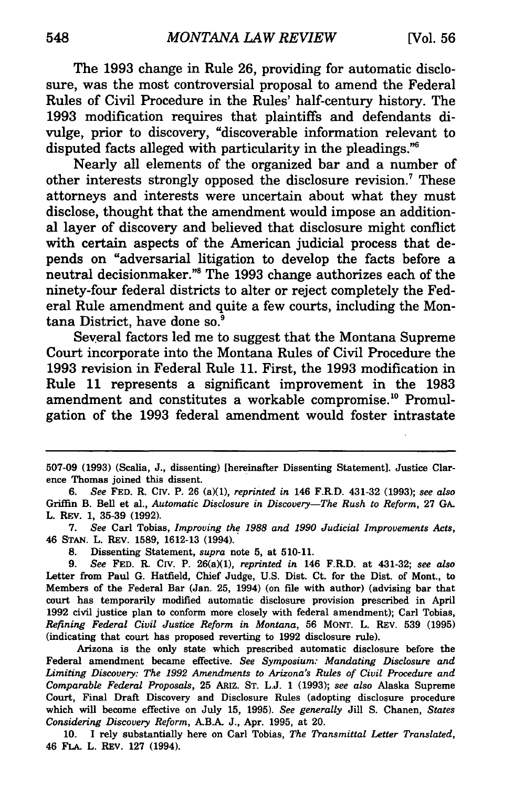The 1993 change in Rule 26, providing for automatic disclosure, was the most controversial proposal to amend the Federal Rules of Civil Procedure in the Rules' half-century history. The 1993 modification requires that plaintiffs and defendants divulge, prior to discovery, "discoverable information relevant to disputed facts alleged with particularity in the pleadings. $^{76}$ 

Nearly all elements of the organized bar and a number of other interests strongly opposed the disclosure revision.<sup>7</sup> These attorneys and interests were uncertain about what they must disclose, thought that the amendment would impose an additional layer of discovery and believed that disclosure might conflict with certain aspects of the American judicial process that depends on "adversarial litigation to develop the facts before a neutral decisionmaker."<sup>8</sup> The 1993 change authorizes each of the ninety-four federal districts to alter or reject completely the Federal Rule amendment and quite a few courts, including the Montana District, have done so.<sup>9</sup>

Several factors led me to suggest that the Montana Supreme Court incorporate into the Montana Rules of Civil Procedure the 1993 revision in Federal Rule 11. First, the 1993 modification in Rule 11 represents a significant improvement in the 1983 amendment and constitutes a workable compromise.<sup>10</sup> Promulgation of the 1993 federal amendment would foster intrastate

7. *See* Carl Tobias, *Improving the 1988 and 1990 Judicial Improvements Acts,*  46 STAN. L. REV. 1589, 1612-13 (1994).

8. Dissenting Statement, *supra* note 5, at 510-11.

9. *See* FED. R. *CN.* P. 26(a)(l), *reprinted in* 146 F.R.D. at 431-32; *see also*  Letter from Paul G. Hatfield, Chief Judge, U.S. Dist. Ct. for the Dist. of Mont., to Members of the Federal Bar (Jan. 25, 1994) (on file with author) (advising bar that court has temporarily modified automatic disclosure provision prescribed in April 1992 civil justice plan to conform more closely with federal amendment); Carl Tobias, *Refining Federal Civil Justice Reform in Montana,* 56 MONT. L. REV. 539 (1995) (indicating that court has proposed reverting to 1992 disclosure rule).

Arizona is the only state which prescribed automatic disclosure before the Federal amendment became effective. *See Symposium: Mandating Disclosure and Limiting Discovery: The 1992 Amendments to Arizona's Rules of Civil Procedure and Comparable Federal Proposals,* 25 ARIZ. ST. L.J. 1 (1993); *see also* Alaska Supreme Court, Final Draft Discovery and Disclosure Rules (adopting disclosure procedure which will become effective on July 15, 1995). *See generally* Jill S. Chanen, *States Considering Discovery Reform,* AB.A. J., Apr. 1995, at 20.

10. I rely substantially here on Carl Tobias, *The Transmittal Letter Translated,*  46 FLA. L. REV. 127 (1994).

<sup>507-09 (1993) (</sup>Scalia, J., dissenting) [hereinafter Dissenting Statement]. Justice Clarence Thomas joined this dissent.

<sup>6.</sup> *See* FED. R. *CN.* P. 26 (a)(l), *reprinted in* 146 F.R.D. 431-32 (1993); *see also*  Griffin B. Bell et al., *Automatic Disclosure in Discovery-The Rush to Reform,* 27 GA. L. REV. 1, 35-39 (1992).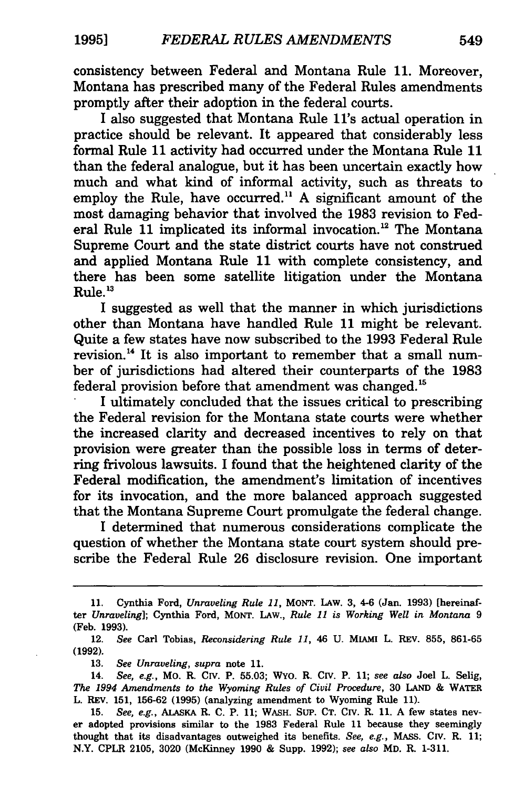consistency between Federal and Montana Rule 11. Moreover, Montana has prescribed many of the Federal Rules amendments promptly after their adoption in the federal courts.

I also suggested that Montana Rule ll's actual operation in practice should be relevant. It appeared that considerably less formal Rule 11 activity had occurred under the Montana Rule 11 than the federal analogue, but it has been uncertain exactly how much and what kind of informal activity, such as threats to employ the Rule, have occurred.<sup>11</sup> A significant amount of the most damaging behavior that involved the 1983 revision to Federal Rule 11 implicated its informal invocation.<sup>12</sup> The Montana Supreme Court and the state district courts have not construed and applied Montana Rule 11 with complete consistency, and there has been some satellite litigation under the Montana  $R_{11}$ le<sup>13</sup>

I suggested as well that the manner in which jurisdictions other than Montana have handled Rule 11 might be relevant. Quite a few states have now subscribed to the 1993 Federal Rule revision. 14 It is also important to remember that a small number of jurisdictions had altered their counterparts of the 1983 federal provision before that amendment was changed. <sup>15</sup>

I ultimately concluded that the issues critical to prescribing the Federal revision for the Montana state courts were whether the increased clarity and decreased incentives to rely on that provision were greater than the possible loss in terms of deterring frivolous lawsuits. I found that the heightened clarity of the Federal modification, the amendment's limitation of incentives for its invocation, and the more balanced approach suggested that the Montana Supreme Court promulgate the federal change.

I determined that numerous considerations complicate the question of whether the Montana state court system should prescribe the Federal Rule 26 disclosure revision. One important

<sup>11.</sup> Cynthia Ford, *Unraveling Rule 11,* MONT. LAW. 3, 4-6 (Jan. 1993) [hereinafter *Unraveling];* Cynthia Ford, MONT. LAW., *Rule 11 is Working Well in Montana* 9 (Feb. 1993).

<sup>12.</sup> *See* Carl Tobias, *Reconsidering Rule 11,* 46 U. MIAMI L. REV. 855, 861-65 (1992).

<sup>13.</sup> *See Unraveling, supra* note 11.

<sup>14.</sup> *See, e.g.,* Mo. R. CIV. P. 55.03; WYO. R. CIV. P. 11; *see also* Joel L. Selig, *The 1994 Amendments to the Wyoming Rules of Civil Procedure,* 30 LAND & WATER L. REV. 151, 156-62 (1995) (analyzing amendment to Wyoming Rule 11).

<sup>15.</sup> *See, e.g.,* ALAsKA R. C. P. 11; WASH. SUP. CT. CIV. R. 11. A few states never adopted provisions similar to the 1983 Federal Rule 11 because they seemingly thought that its disadvantages outweighed its benefits. *See, e.g.,* MAss. CIV. R. 11; N.Y. CPLR 2105, 3020 (McKinney 1990 & Supp. 1992); *see also* MD. R. 1-311.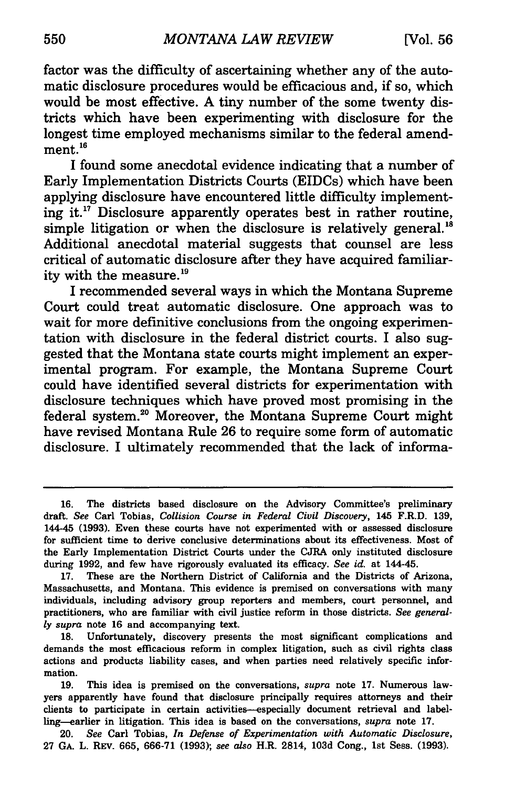factor was the difficulty of ascertaining whether any of the automatic disclosure procedures would be efficacious and, if so, which would be most effective. A tiny number of the some twenty districts which have been experimenting with disclosure for the longest time employed mechanisms similar to the federal amendment.<sup>16</sup>

I found some anecdotal evidence indicating that a number of Early Implementation Districts Courts (EIDCs) which have been applying disclosure have encountered little difficulty implementing it.<sup>17</sup> Disclosure apparently operates best in rather routine, simple litigation or when the disclosure is relatively general.<sup>18</sup> Additional anecdotal material suggests that counsel are less critical of automatic disclosure after they have acquired familiarity with the measure.<sup>19</sup>

I recommended several ways in which the Montana Supreme Court could treat automatic disclosure. One approach was to wait for more definitive conclusions from the ongoing experimentation with disclosure in the federal district courts. I also suggested that the Montana state courts might implement an experimental program. For example, the Montana Supreme Court could have identified several districts for experimentation with disclosure techniques which have proved most promising in the federal system.20 Moreover, the Montana Supreme Court might have revised Montana Rule 26 to require some form of automatic disclosure. I ultimately recommended that the lack of informa-

<sup>16.</sup> The districts based disclosure on the Advisory Committee's preliminary draft. *See* Carl Tobias, *Collision Course in Federal Civil Discovery,* 145 F.R.D. 139, 144-45 (1993). Even these courts have not experimented with or assessed disclosure for sufficient time to derive conclusive determinations about its effectiveness. Most of the Early Implementation District Courts under the CJRA only instituted disclosure during 1992, and few have rigorously evaluated its efficacy. *See id.* at 144-45.

<sup>17.</sup> These are the Northern District of California and the Districts of Arizona, Massachusetts, and Montana. This evidence is premised on conversations with many individuals, including advisory group reporters and members, court personnel, and practitioners, who are familiar with civil justice reform in those districts. *See generally supra* note 16 and accompanying text.

<sup>18.</sup> Unfortunately, discovery presents the most significant complications and demands the most efficacious reform in complex litigation, such as civil rights class actions and products liability cases, and when parties need relatively specific information.

<sup>19.</sup> This idea is premised on the conversations, *supra* note 17. Numerous lawyers apparently have found that disclosure principally requires attorneys and their clients to participate in certain activities-especially document retrieval and labelling-earlier in litigation. This idea is based on the conversations, *supra* note 17.

<sup>20.</sup> *See* Carl Tobias, *In Defense of Experimentation with Automatic Disclosure,*  27 GA. L. REV. 665, 666-71 (1993); *see also* H.R. 2814, 103d Cong., 1st Sess. (1993).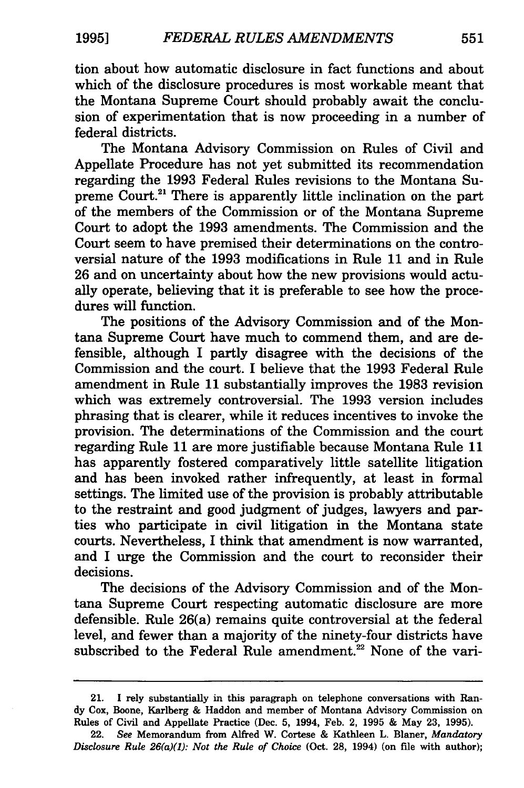tion about how automatic disclosure in fact functions and about which of the disclosure procedures is most workable meant that the Montana Supreme Court should probably await the conclusion of experimentation that is now proceeding in a number of federal districts.

The Montana Advisory Commission on Rules of Civil and Appellate Procedure has not yet submitted its recommendation regarding the 1993 Federal Rules revisions to the Montana Supreme Court.<sup>21</sup> There is apparently little inclination on the part of the members of the Commission or of the Montana Supreme Court to adopt the 1993 amendments. The Commission and the Court seem to have premised their determinations on the controversial nature of the 1993 modifications in Rule 11 and in Rule 26 and on uncertainty about how the new provisions would actually operate, believing that it is preferable to see how the procedures will function.

The positions of the Advisory Commission and of the Montana Supreme Court have much to commend them, and are defensible, although I partly disagree with the decisions of the Commission and the court. I believe that the 1993 Federal Rule amendment in Rule 11 substantially improves the 1983 revision which was extremely controversial. The 1993 version includes phrasing that is clearer, while it reduces incentives to invoke the provision. The determinations of the Commission and the court regarding Rule 11 are more justifiable because Montana Rule 11 has apparently fostered comparatively little satellite litigation and has been invoked rather infrequently, at least in formal settings. The limited use of the provision is probably attributable to the restraint and good judgment of judges, lawyers and parties who participate in civil litigation in the Montana state courts. Nevertheless, I think that amendment is now warranted, and I urge the Commission and the court to reconsider their decisions.

The decisions of the Advisory Commission and of the Montana Supreme Court respecting automatic disclosure are more defensible. Rule 26(a) remains quite controversial at the federal level, and fewer than a majority of the ninety-four districts have subscribed to the Federal Rule amendment.<sup>22</sup> None of the vari-

<sup>21.</sup> I rely substantially in this paragraph on telephone conversations with Randy Cox, Boone, Karlberg & Haddon and member of Montana Advisory Commission on Rules of Civil and Appellate Practice (Dec. 5, 1994, Feb. 2, 1995 & May 23, 1995).

<sup>22.</sup> *See* Memorandum from Alfred W. Cortese & Kathleen L. Blaner, *Mandatory Disclosure Rule 26(a)(l): Not the Rule of Choice* (Oct. 28, 1994) (on file with author);